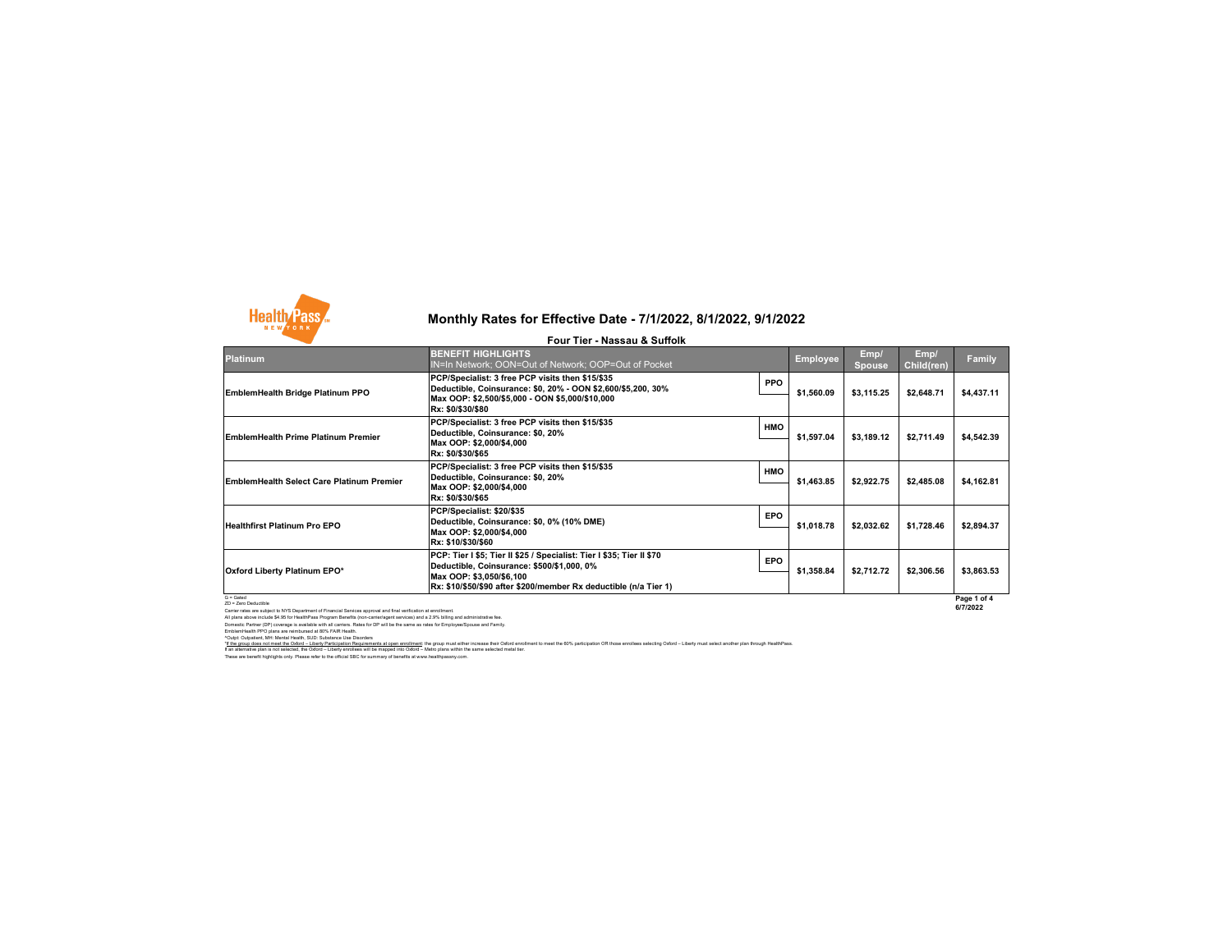

| Four Tier - Nassau & Suffolk                                                                                                                          |                                                                                                                                                                                                                     |            |                 |                       |                    |                         |
|-------------------------------------------------------------------------------------------------------------------------------------------------------|---------------------------------------------------------------------------------------------------------------------------------------------------------------------------------------------------------------------|------------|-----------------|-----------------------|--------------------|-------------------------|
| <b>Platinum</b>                                                                                                                                       | <b>BENEFIT HIGHLIGHTS</b><br>IN=In Network; OON=Out of Network; OOP=Out of Pocket                                                                                                                                   |            | <b>Employee</b> | Emp/<br><b>Spouse</b> | Emp/<br>Child(ren) | Family                  |
| <b>EmblemHealth Bridge Platinum PPO</b>                                                                                                               | PCP/Specialist: 3 free PCP visits then \$15/\$35<br>Deductible, Coinsurance: \$0, 20% - OON \$2,600/\$5,200, 30%<br>Max OOP: \$2,500/\$5,000 - OON \$5,000/\$10,000<br>Rx: \$0/\$30/\$80                            | <b>PPO</b> | \$1,560.09      | \$3,115.25            | \$2,648.71         | \$4,437.11              |
| EmblemHealth Prime Platinum Premier                                                                                                                   | PCP/Specialist: 3 free PCP visits then \$15/\$35<br>Deductible, Coinsurance: \$0, 20%<br>Max OOP: \$2,000/\$4,000<br>Rx: \$0/\$30/\$65                                                                              | <b>HMO</b> | \$1,597.04      | \$3.189.12            | \$2,711.49         | \$4,542.39              |
| EmblemHealth Select Care Platinum Premier                                                                                                             | PCP/Specialist: 3 free PCP visits then \$15/\$35<br>Deductible, Coinsurance: \$0, 20%<br>Max OOP: \$2,000/\$4,000<br>Rx: \$0/\$30/\$65                                                                              | <b>HMO</b> | \$1,463.85      | \$2,922.75            | \$2,485.08         | \$4,162.81              |
| Healthfirst Platinum Pro EPO                                                                                                                          | PCP/Specialist: \$20/\$35<br>Deductible, Coinsurance: \$0, 0% (10% DME)<br>Max OOP: \$2,000/\$4,000<br>Rx: \$10/\$30/\$60                                                                                           | <b>EPO</b> | \$1.018.78      | \$2.032.62            | \$1,728.46         | \$2,894.37              |
| Oxford Liberty Platinum EPO*                                                                                                                          | PCP: Tier I \$5; Tier II \$25 / Specialist: Tier I \$35; Tier II \$70<br>Deductible, Coinsurance: \$500/\$1,000, 0%<br>Max OOP: \$3,050/\$6,100<br>Rx: \$10/\$50/\$90 after \$200/member Rx deductible (n/a Tier 1) | <b>EPO</b> | \$1,358.84      | \$2,712.72            | \$2,306.56         | \$3,863.53              |
| $G =$ Gated<br>ZD = Zero Deductible<br>Contagnation are articled to NVC Department of Cinepaid Contage approval and final resification of consiliance |                                                                                                                                                                                                                     |            |                 |                       |                    | Page 1 of 4<br>6/7/2022 |

2D - Zero Deductitie<br>Cartier rates are subject to NYS Department of Financial Services approval and final verification at enrollment<br>All plans above include \$4.5 for HealthPass Program Benefits (non-carrierlagent services)

"<u>If the group does not meet the Odord – Liberty Participation Requirements at open enrolliment</u> the group must ether increase their of order on the fol% participation OR those enrollees selecting Odord – Liberty must sele

These are benefit highlights only. Please refer to the official SBC for summary of benefits at www.healthpassny.com.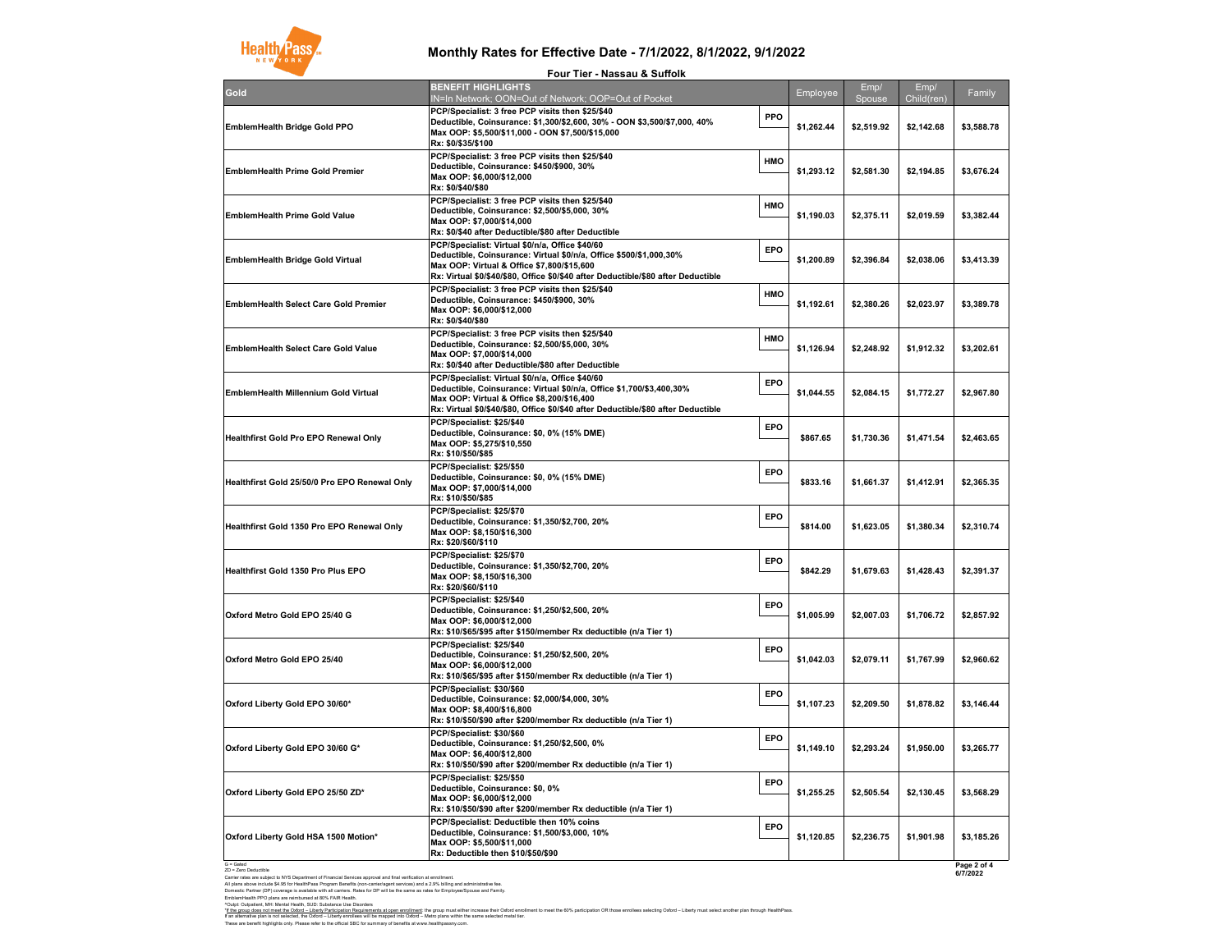

|                                                                                                                                                        | Four Tier - Nassau & Suffolk                                                                                                                                                                                                                               |     |            |                |                    |                         |
|--------------------------------------------------------------------------------------------------------------------------------------------------------|------------------------------------------------------------------------------------------------------------------------------------------------------------------------------------------------------------------------------------------------------------|-----|------------|----------------|--------------------|-------------------------|
| Gold                                                                                                                                                   | <b>BENEFIT HIGHLIGHTS</b><br>IN=In Network; OON=Out of Network; OOP=Out of Pocket                                                                                                                                                                          |     | Employee   | Emp/<br>Spouse | Emp/<br>Child(ren) | Family                  |
| EmblemHealth Bridge Gold PPO                                                                                                                           | PCP/Specialist: 3 free PCP visits then \$25/\$40<br>Deductible, Coinsurance: \$1,300/\$2,600, 30% - OON \$3,500/\$7,000, 40%<br>Max OOP: \$5,500/\$11,000 - OON \$7,500/\$15,000<br>Rx: \$0/\$35/\$100                                                     | PPO | \$1,262.44 | \$2,519.92     | \$2,142.68         | \$3,588.78              |
| <b>EmblemHealth Prime Gold Premier</b>                                                                                                                 | PCP/Specialist: 3 free PCP visits then \$25/\$40<br>Deductible, Coinsurance: \$450/\$900, 30%<br>Max OOP: \$6.000/\$12.000<br>Rx: \$0/\$40/\$80                                                                                                            | HMO | \$1,293.12 | \$2,581.30     | \$2,194.85         | \$3,676.24              |
| <b>EmblemHealth Prime Gold Value</b>                                                                                                                   | PCP/Specialist: 3 free PCP visits then \$25/\$40<br>Deductible, Coinsurance: \$2,500/\$5,000, 30%<br>Max OOP: \$7,000/\$14,000<br>Rx: \$0/\$40 after Deductible/\$80 after Deductible                                                                      | HMO | \$1,190.03 | \$2,375.11     | \$2,019.59         | \$3,382.44              |
| <b>EmblemHealth Bridge Gold Virtual</b>                                                                                                                | PCP/Specialist: Virtual \$0/n/a, Office \$40/60<br>Deductible, Coinsurance: Virtual \$0/n/a, Office \$500/\$1,000,30%<br>Max OOP: Virtual & Office \$7,800/\$15,600<br>Rx: Virtual \$0/\$40/\$80, Office \$0/\$40 after Deductible/\$80 after Deductible   | EPO | \$1,200.89 | \$2,396.84     | \$2,038.06         | \$3,413.39              |
| <b>EmblemHealth Select Care Gold Premier</b>                                                                                                           | PCP/Specialist: 3 free PCP visits then \$25/\$40<br>Deductible, Coinsurance: \$450/\$900, 30%<br>Max OOP: \$6,000/\$12,000<br>Rx: \$0/\$40/\$80                                                                                                            | HMO | \$1,192.61 | \$2,380.26     | \$2,023.97         | \$3,389.78              |
| <b>EmblemHealth Select Care Gold Value</b>                                                                                                             | PCP/Specialist: 3 free PCP visits then \$25/\$40<br>Deductible, Coinsurance: \$2,500/\$5,000, 30%<br>Max OOP: \$7,000/\$14,000<br>Rx: \$0/\$40 after Deductible/\$80 after Deductible                                                                      | HMO | \$1,126.94 | \$2,248.92     | \$1,912.32         | \$3,202.61              |
| EmblemHealth Millennium Gold Virtual                                                                                                                   | PCP/Specialist: Virtual \$0/n/a, Office \$40/60<br>Deductible, Coinsurance: Virtual \$0/n/a, Office \$1,700/\$3,400,30%<br>Max OOP: Virtual & Office \$8,200/\$16,400<br>Rx: Virtual \$0/\$40/\$80, Office \$0/\$40 after Deductible/\$80 after Deductible | EPO | \$1,044.55 | \$2,084.15     | \$1,772.27         | \$2,967.80              |
| <b>Healthfirst Gold Pro EPO Renewal Only</b>                                                                                                           | PCP/Specialist: \$25/\$40<br>Deductible, Coinsurance: \$0, 0% (15% DME)<br>Max OOP: \$5,275/\$10,550<br>Rx: \$10/\$50/\$85                                                                                                                                 | EPO | \$867.65   | \$1,730.36     | \$1,471.54         | \$2,463.65              |
| Healthfirst Gold 25/50/0 Pro EPO Renewal Only                                                                                                          | PCP/Specialist: \$25/\$50<br>Deductible, Coinsurance: \$0, 0% (15% DME)<br>Max OOP: \$7,000/\$14,000<br>Rx: \$10/\$50/\$85                                                                                                                                 | EPO | \$833.16   | \$1,661.37     | \$1,412.91         | \$2,365.35              |
| Healthfirst Gold 1350 Pro EPO Renewal Only                                                                                                             | PCP/Specialist: \$25/\$70<br>Deductible, Coinsurance: \$1,350/\$2,700, 20%<br>Max OOP: \$8,150/\$16,300<br>Rx: \$20/\$60/\$110                                                                                                                             | EPO | \$814.00   | \$1,623.05     | \$1,380.34         | \$2,310.74              |
| Healthfirst Gold 1350 Pro Plus EPO                                                                                                                     | PCP/Specialist: \$25/\$70<br>Deductible, Coinsurance: \$1,350/\$2,700, 20%<br>Max OOP: \$8,150/\$16,300<br>Rx: \$20/\$60/\$110                                                                                                                             | EPO | \$842.29   | \$1,679.63     | \$1,428.43         | \$2,391.37              |
| Oxford Metro Gold EPO 25/40 G                                                                                                                          | PCP/Specialist: \$25/\$40<br>Deductible, Coinsurance: \$1,250/\$2,500, 20%<br>Max OOP: \$6,000/\$12,000<br>Rx: \$10/\$65/\$95 after \$150/member Rx deductible (n/a Tier 1)                                                                                | EPO | \$1,005.99 | \$2,007.03     | \$1,706.72         | \$2,857.92              |
| Oxford Metro Gold EPO 25/40                                                                                                                            | PCP/Specialist: \$25/\$40<br>Deductible, Coinsurance: \$1,250/\$2,500, 20%<br>Max OOP: \$6,000/\$12,000<br>Rx: \$10/\$65/\$95 after \$150/member Rx deductible (n/a Tier 1)                                                                                | EPO | \$1,042.03 | \$2,079.11     | \$1,767.99         | \$2,960.62              |
| Oxford Liberty Gold EPO 30/60*                                                                                                                         | PCP/Specialist: \$30/\$60<br>Deductible, Coinsurance: \$2,000/\$4,000, 30%<br>Max OOP: \$8,400/\$16,800<br>Rx: \$10/\$50/\$90 after \$200/member Rx deductible (n/a Tier 1)                                                                                | EPO | \$1.107.23 | \$2.209.50     | \$1,878.82         | \$3.146.44              |
| Oxford Liberty Gold EPO 30/60 G*                                                                                                                       | PCP/Specialist: \$30/\$60<br>Deductible, Coinsurance: \$1,250/\$2,500, 0%<br>Max OOP: \$6,400/\$12,800<br>Rx: \$10/\$50/\$90 after \$200/member Rx deductible (n/a Tier 1)                                                                                 | EPO | \$1,149.10 | \$2,293.24     | \$1.950.00         | \$3.265.77              |
| Oxford Liberty Gold EPO 25/50 ZD*                                                                                                                      | PCP/Specialist: \$25/\$50<br>Deductible, Coinsurance: \$0, 0%<br>Max OOP: \$6,000/\$12,000<br>Rx: \$10/\$50/\$90 after \$200/member Rx deductible (n/a Tier 1)                                                                                             | EPO | \$1,255.25 | \$2,505.54     | \$2,130.45         | \$3.568.29              |
| Oxford Liberty Gold HSA 1500 Motion*                                                                                                                   | PCP/Specialist: Deductible then 10% coins<br>Deductible, Coinsurance: \$1,500/\$3,000, 10%<br>Max OOP: \$5,500/\$11,000<br>Rx: Deductible then \$10/\$50/\$90                                                                                              | EPO | \$1,120.85 | \$2,236.75     | \$1,901.98         | \$3,185.26              |
| $G =$ Gated<br>ZD = Zero Deductible<br>Carrier rates are subject to NYS Department of Financial Services approval and final verification at enrollment |                                                                                                                                                                                                                                                            |     |            |                |                    | Page 2 of 4<br>6/7/2022 |

Carler rates are subject to WS Department of Francial Services approval and frast wetfication at envoltinent.<br>All plane above include \$4.95 for HealthPass Program Benefits (non-carrieringerit aerioces) and a 2.9% tailing a

"If the group does not meet the Odord – Liberty Participation Requirements at open enrollment the group must ether increase their of order on the fol% participation OR those enrollees selecting Odord – Liberty must select

These are benefit highlights only. Please refer to the official SBC for summary of benefits at www.healthpassny.com.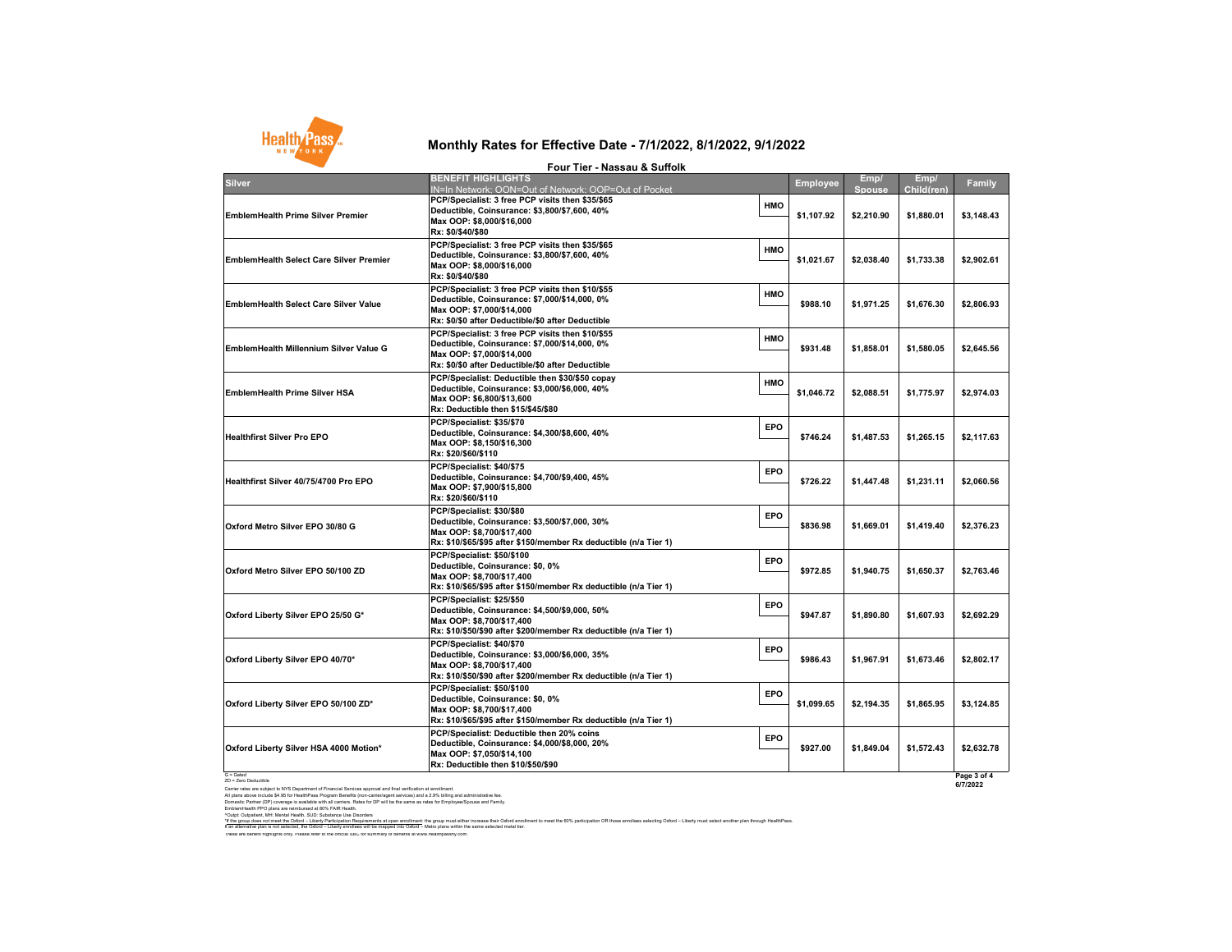

|                                              | Four Tier - Nassau & Suffolk                                                                                                                                                        |            |                 |                |                    |            |
|----------------------------------------------|-------------------------------------------------------------------------------------------------------------------------------------------------------------------------------------|------------|-----------------|----------------|--------------------|------------|
| <b>Silver</b>                                | <b>BENEFIT HIGHLIGHTS</b><br>IN=In Network: OON=Out of Network: OOP=Out of Pocket                                                                                                   |            | <b>Employee</b> | Emp/<br>Spouse | Emp/<br>Child(ren) | Family     |
| <b>EmblemHealth Prime Silver Premier</b>     | PCP/Specialist: 3 free PCP visits then \$35/\$65<br>Deductible, Coinsurance: \$3,800/\$7,600, 40%<br>Max OOP: \$8,000/\$16,000<br>Rx: \$0/\$40/\$80                                 | HMO        | \$1,107.92      | \$2,210.90     | \$1,880.01         | \$3,148.43 |
| EmblemHealth Select Care Silver Premier      | PCP/Specialist: 3 free PCP visits then \$35/\$65<br>Deductible, Coinsurance: \$3,800/\$7,600, 40%<br>Max OOP: \$8,000/\$16,000<br>Rx: \$0/\$40/\$80                                 | HMO        | \$1,021.67      | \$2,038.40     | \$1,733.38         | \$2,902.61 |
| <b>EmblemHealth Select Care Silver Value</b> | PCP/Specialist: 3 free PCP visits then \$10/\$55<br>Deductible, Coinsurance: \$7,000/\$14,000, 0%<br>Max OOP: \$7,000/\$14,000<br>Rx: \$0/\$0 after Deductible/\$0 after Deductible | HMO        | \$988.10        | \$1,971.25     | \$1,676.30         | \$2,806.93 |
| EmblemHealth Millennium Silver Value G       | PCP/Specialist: 3 free PCP visits then \$10/\$55<br>Deductible, Coinsurance: \$7,000/\$14,000, 0%<br>Max OOP: \$7,000/\$14,000<br>Rx: \$0/\$0 after Deductible/\$0 after Deductible | HMO        | \$931.48        | \$1,858.01     | \$1,580.05         | \$2,645.56 |
| EmblemHealth Prime Silver HSA                | PCP/Specialist: Deductible then \$30/\$50 copay<br>Deductible, Coinsurance: \$3,000/\$6,000, 40%<br>Max OOP: \$6,800/\$13,600<br>Rx: Deductible then \$15/\$45/\$80                 | HMO        | \$1,046.72      | \$2,088.51     | \$1,775.97         | \$2,974.03 |
| <b>Healthfirst Silver Pro EPO</b>            | PCP/Specialist: \$35/\$70<br>Deductible, Coinsurance: \$4,300/\$8,600, 40%<br>Max OOP: \$8,150/\$16,300<br>Rx: \$20/\$60/\$110                                                      | <b>EPO</b> | \$746.24        | \$1,487.53     | \$1,265.15         | \$2,117.63 |
| Healthfirst Silver 40/75/4700 Pro EPO        | PCP/Specialist: \$40/\$75<br>Deductible, Coinsurance: \$4,700/\$9,400, 45%<br>Max OOP: \$7,900/\$15,800<br>Rx: \$20/\$60/\$110                                                      | <b>EPO</b> | \$726.22        | \$1,447.48     | \$1,231.11         | \$2,060.56 |
| Oxford Metro Silver EPO 30/80 G              | PCP/Specialist: \$30/\$80<br>Deductible, Coinsurance: \$3,500/\$7,000, 30%<br>Max OOP: \$8,700/\$17,400<br>Rx: \$10/\$65/\$95 after \$150/member Rx deductible (n/a Tier 1)         | <b>EPO</b> | \$836.98        | \$1,669.01     | \$1,419.40         | \$2,376.23 |
| Oxford Metro Silver EPO 50/100 ZD            | PCP/Specialist: \$50/\$100<br>Deductible, Coinsurance: \$0, 0%<br>Max OOP: \$8.700/\$17.400<br>Rx: \$10/\$65/\$95 after \$150/member Rx deductible (n/a Tier 1)                     | EPO        | \$972.85        | \$1.940.75     | \$1,650.37         | \$2,763.46 |
| Oxford Liberty Silver EPO 25/50 G*           | PCP/Specialist: \$25/\$50<br>Deductible, Coinsurance: \$4,500/\$9,000, 50%<br>Max OOP: \$8.700/\$17.400<br>Rx: \$10/\$50/\$90 after \$200/member Rx deductible (n/a Tier 1)         | EPO        | \$947.87        | \$1,890.80     | \$1,607.93         | \$2,692.29 |
| Oxford Liberty Silver EPO 40/70*             | PCP/Specialist: \$40/\$70<br>Deductible, Coinsurance: \$3,000/\$6,000, 35%<br>Max OOP: \$8,700/\$17,400<br>Rx: \$10/\$50/\$90 after \$200/member Rx deductible (n/a Tier 1)         | <b>EPO</b> | \$986.43        | \$1,967.91     | \$1,673.46         | \$2,802.17 |
| Oxford Liberty Silver EPO 50/100 ZD*         | PCP/Specialist: \$50/\$100<br>Deductible, Coinsurance: \$0, 0%<br>Max OOP: \$8,700/\$17,400<br>Rx: \$10/\$65/\$95 after \$150/member Rx deductible (n/a Tier 1)                     | <b>EPO</b> | \$1,099.65      | \$2,194.35     | \$1,865.95         | \$3,124.85 |
| Oxford Liberty Silver HSA 4000 Motion*       | PCP/Specialist: Deductible then 20% coins<br>Deductible, Coinsurance: \$4,000/\$8,000, 20%<br>Max OOP: \$7,050/\$14,100<br>Rx: Deductible then \$10/\$50/\$90                       | EPO        | \$927.00        | \$1,849.04     | \$1,572.43         | \$2,632.78 |

G = Gated<br>Carler rates are subject to NYS Department of Financial Services approval and final verification at enrolment.<br>All plans above include \$4.95 for HealthPass Program Benefits (non-carrieringent services) and a 2.9%

rOugheri, Mr. Merial Helli, SUD, Substract Me Blooders<br>I an allematic planned in the Substract Meridian International the group mut the forestander of Outdoor Meridian OR 60% participation OR floor enrollers selecting Oxfo

These are benefit highlights only. Please refer to the official SBC for summary of benefits at www.healthpassny.com.

**Page 3 of 4 6/7/2022**